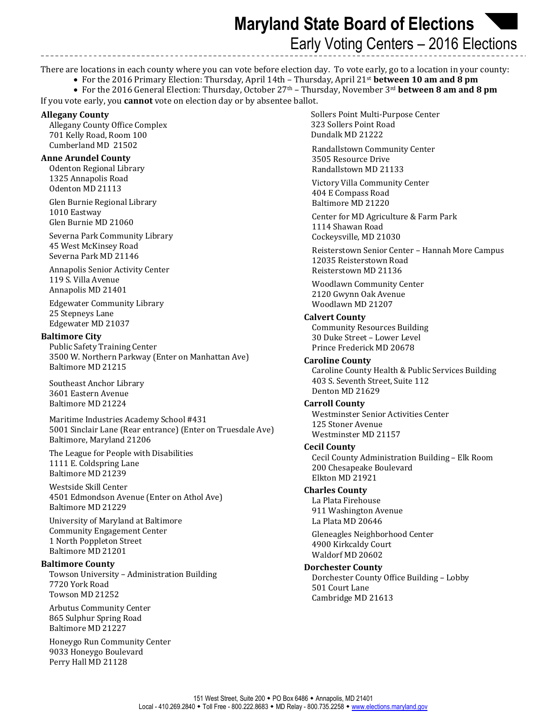**Maryland State Board of Elections**  Early Voting Centers – 2016 Elections

There are locations in each county where you can vote before election day. To vote early, go to a location in your county:

• For the 2016 Primary Election: Thursday, April 14th – Thursday, April 21st **between 10 am and 8 pm**

• For the 2016 General Election: Thursday, October 27th – Thursday, November 3rd **between 8 am and 8 pm**

If you vote early, you **cannot** vote on election day or by absentee ballot.

#### **Allegany County**

Allegany County Office Complex 701 Kelly Road, Room 100 Cumberland MD 21502

#### **Anne Arundel County**

Odenton Regional Library 1325 Annapolis Road Odenton MD 21113

Glen Burnie Regional Library 1010 Eastway Glen Burnie MD 21060

Severna Park Community Library 45 West McKinsey Road Severna Park MD 21146

Annapolis Senior Activity Center 119 S. Villa Avenue Annapolis MD 21401

Edgewater Community Library 25 Stepneys Lane Edgewater MD 21037

#### **Baltimore City**

Public Safety Training Center 3500 W. Northern Parkway (Enter on Manhattan Ave) Baltimore MD 21215

Southeast Anchor Library 3601 Eastern Avenue Baltimore MD 21224

Maritime Industries Academy School #431 5001 Sinclair Lane (Rear entrance) (Enter on Truesdale Ave) Baltimore, Maryland 21206

The League for People with Disabilities 1111 E. Coldspring Lane Baltimore MD 21239

Westside Skill Center 4501 Edmondson Avenue (Enter on Athol Ave) Baltimore MD 21229

University of Maryland at Baltimore Community Engagement Center 1 North Poppleton Street Baltimore MD 21201

#### **Baltimore County**

Towson University – Administration Building 7720 York Road Towson MD 21252

Arbutus Community Center 865 Sulphur Spring Road Baltimore MD 21227

Honeygo Run Community Center 9033 Honeygo Boulevard Perry Hall MD 21128

 Sollers Point Multi-Purpose Center 323 Sollers Point Road Dundalk MD 21222

Randallstown Community Center 3505 Resource Drive Randallstown MD 21133

Victory Villa Community Center 404 E Compass Road Baltimore MD 21220

Center for MD Agriculture & Farm Park 1114 Shawan Road Cockeysville, MD 21030

Reisterstown Senior Center – Hannah More Campus 12035 Reisterstown Road Reisterstown MD 21136

Woodlawn Community Center 2120 Gwynn Oak Avenue Woodlawn MD 21207

#### **Calvert County**

Community Resources Building 30 Duke Street – Lower Level Prince Frederick MD 20678

## **Caroline County**

Caroline County Health & Public Services Building 403 S. Seventh Street, Suite 112 Denton MD 21629

#### **Carroll County**

Westminster Senior Activities Center 125 Stoner Avenue Westminster MD 21157

#### **Cecil County**

Cecil County Administration Building – Elk Room 200 Chesapeake Boulevard Elkton MD 21921

#### **Charles County**

La Plata Firehouse 911 Washington Avenue La Plata MD 20646

Gleneagles Neighborhood Center 4900 Kirkcaldy Court Waldorf MD 20602

#### **Dorchester County**

Dorchester County Office Building – Lobby 501 Court Lane Cambridge MD 21613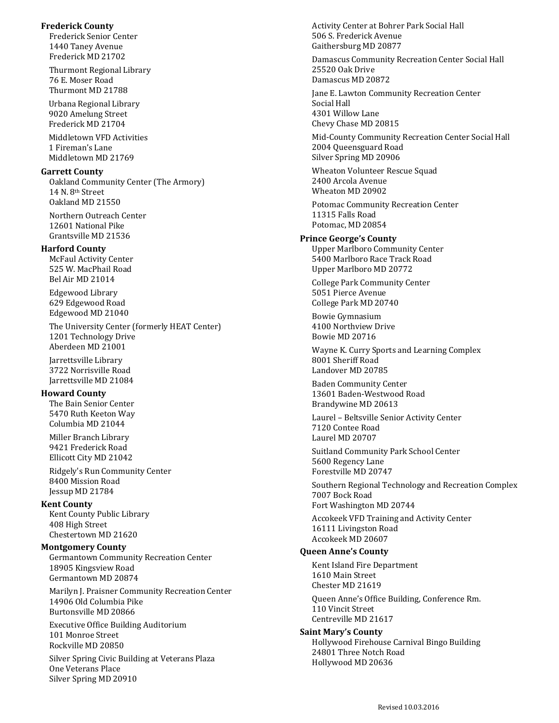### **Frederick County**

Frederick Senior Center 1440 Taney Avenue Frederick MD 21702

Thurmont Regional Library 76 E. Moser Road Thurmont MD 21788

 Urbana Regional Library 9020 Amelung Street Frederick MD 21704

 Middletown VFD Activities 1 Fireman's Lane Middletown MD 21769

## **Garrett County**

Oakland Community Center (The Armory) 14 N. 8<sup>th</sup> Street Oakland MD 21550

Northern Outreach Center 12601 National Pike Grantsville MD 21536

# **Harford County**

McFaul Activity Center 525 W. MacPhail Road Bel Air MD 21014

Edgewood Library 629 Edgewood Road Edgewood MD 21040

The University Center (formerly HEAT Center) 1201 Technology Drive Aberdeen MD 21001

Jarrettsville Library 3722 Norrisville Road Jarrettsville MD 21084

# **Howard County**

The Bain Senior Center 5470 Ruth Keeton Way Columbia MD 21044

Miller Branch Library 9421 Frederick Road Ellicott City MD 21042

Ridgely's Run Community Center 8400 Mission Road Jessup MD 21784

# **Kent County**

Kent County Public Library 408 High Street Chestertown MD 21620

# **Montgomery County**

Germantown Community Recreation Center 18905 Kingsview Road Germantown MD 20874

Marilyn J. Praisner Community Recreation Center 14906 Old Columbia Pike Burtonsville MD 20866

Executive Office Building Auditorium 101 Monroe Street Rockville MD 20850

Silver Spring Civic Building at Veterans Plaza One Veterans Place Silver Spring MD 20910

Activity Center at Bohrer Park Social Hall 506 S. Frederick Avenue Gaithersburg MD 20877

Damascus Community Recreation Center Social Hall 25520 Oak Drive Damascus MD 20872

Jane E. Lawton Community Recreation Center Social Hall 4301 Willow Lane Chevy Chase MD 20815

Mid-County Community Recreation Center Social Hall 2004 Queensguard Road Silver Spring MD 20906

Wheaton Volunteer Rescue Squad 2400 Arcola Avenue Wheaton MD 20902

Potomac Community Recreation Center 11315 Falls Road Potomac, MD 20854

# **Prince George's County**

Upper Marlboro Community Center 5400 Marlboro Race Track Road Upper Marlboro MD 20772

College Park Community Center 5051 Pierce Avenue College Park MD 20740

Bowie Gymnasium 4100 Northview Drive Bowie MD 20716

Wayne K. Curry Sports and Learning Complex 8001 Sheriff Road Landover MD 20785

Baden Community Center 13601 Baden-Westwood Road Brandywine MD 20613

Laurel – Beltsville Senior Activity Center 7120 Contee Road Laurel MD 20707

Suitland Community Park School Center 5600 Regency Lane Forestville MD 20747

Southern Regional Technology and Recreation Complex 7007 Bock Road Fort Washington MD 20744

Accokeek VFD Training and Activity Center 16111 Livingston Road Accokeek MD 20607

# **Queen Anne's County**

Kent Island Fire Department 1610 Main Street Chester MD 21619

Queen Anne's Office Building, Conference Rm. 110 Vincit Street Centreville MD 21617

**Saint Mary's County** Hollywood Firehouse Carnival Bingo Building 24801 Three Notch Road Hollywood MD 20636